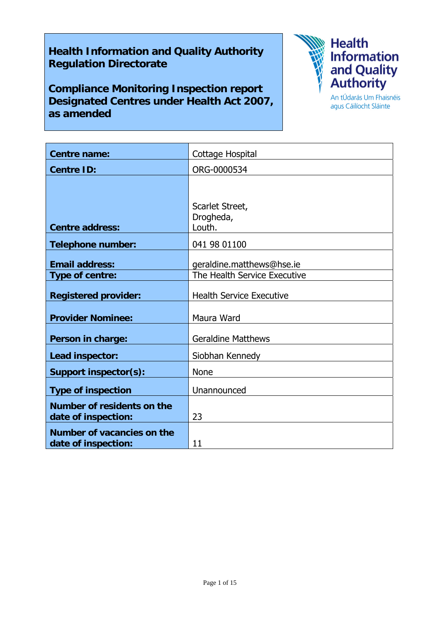# **Health Information and Quality Authority Regulation Directorate**

**Compliance Monitoring Inspection report Designated Centres under Health Act 2007, as amended** 



agus Cáilíocht Sláinte

| <b>Centre name:</b>                               | Cottage Hospital                                          |
|---------------------------------------------------|-----------------------------------------------------------|
| <b>Centre ID:</b>                                 | ORG-0000534                                               |
|                                                   |                                                           |
| <b>Centre address:</b>                            | Scarlet Street,<br>Drogheda,<br>Louth.                    |
| <b>Telephone number:</b>                          | 041 98 01100                                              |
| <b>Email address:</b><br>Type of centre:          | geraldine.matthews@hse.ie<br>The Health Service Executive |
| <b>Registered provider:</b>                       | <b>Health Service Executive</b>                           |
| <b>Provider Nominee:</b>                          | Maura Ward                                                |
| Person in charge:                                 | <b>Geraldine Matthews</b>                                 |
| Lead inspector:                                   | Siobhan Kennedy                                           |
| <b>Support inspector(s):</b>                      | <b>None</b>                                               |
| <b>Type of inspection</b>                         | Unannounced                                               |
| Number of residents on the<br>date of inspection: | 23                                                        |
| Number of vacancies on the<br>date of inspection: | 11                                                        |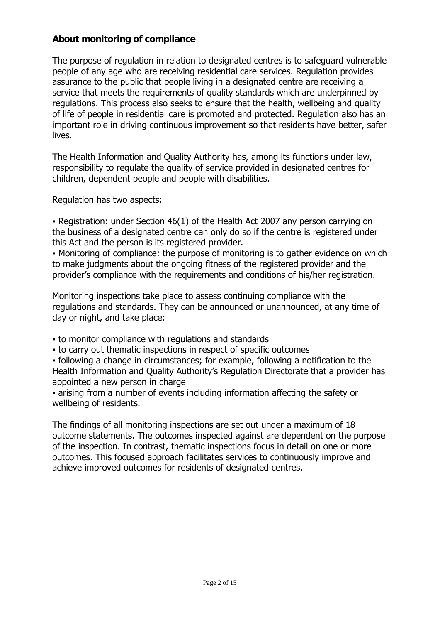#### **About monitoring of compliance**

The purpose of regulation in relation to designated centres is to safeguard vulnerable people of any age who are receiving residential care services. Regulation provides assurance to the public that people living in a designated centre are receiving a service that meets the requirements of quality standards which are underpinned by regulations. This process also seeks to ensure that the health, wellbeing and quality of life of people in residential care is promoted and protected. Regulation also has an important role in driving continuous improvement so that residents have better, safer lives.

The Health Information and Quality Authority has, among its functions under law, responsibility to regulate the quality of service provided in designated centres for children, dependent people and people with disabilities.

Regulation has two aspects:

• Registration: under Section 46(1) of the Health Act 2007 any person carrying on the business of a designated centre can only do so if the centre is registered under this Act and the person is its registered provider.

▪ Monitoring of compliance: the purpose of monitoring is to gather evidence on which to make judgments about the ongoing fitness of the registered provider and the provider's compliance with the requirements and conditions of his/her registration.

Monitoring inspections take place to assess continuing compliance with the regulations and standards. They can be announced or unannounced, at any time of day or night, and take place:

- to monitor compliance with regulations and standards
- to carry out thematic inspections in respect of specific outcomes

▪ following a change in circumstances; for example, following a notification to the Health Information and Quality Authority's Regulation Directorate that a provider has appointed a new person in charge

▪ arising from a number of events including information affecting the safety or wellbeing of residents.

The findings of all monitoring inspections are set out under a maximum of 18 outcome statements. The outcomes inspected against are dependent on the purpose of the inspection. In contrast, thematic inspections focus in detail on one or more outcomes. This focused approach facilitates services to continuously improve and achieve improved outcomes for residents of designated centres.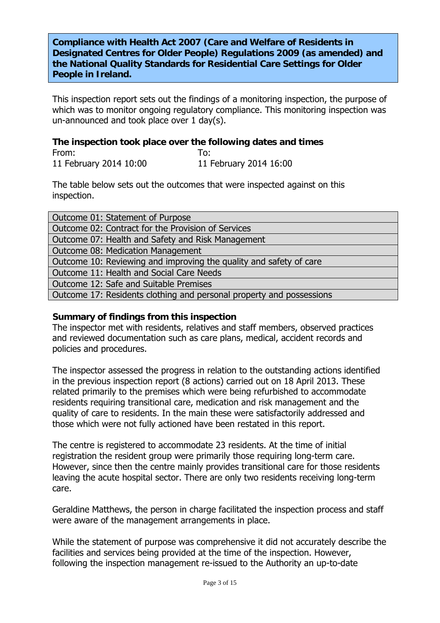**Compliance with Health Act 2007 (Care and Welfare of Residents in Designated Centres for Older People) Regulations 2009 (as amended) and the National Quality Standards for Residential Care Settings for Older People in Ireland.**

This inspection report sets out the findings of a monitoring inspection, the purpose of which was to monitor ongoing regulatory compliance. This monitoring inspection was un-announced and took place over 1 day(s).

# **The inspection took place over the following dates and times**

From: To: 11 February 2014 10:00 11 February 2014 16:00

The table below sets out the outcomes that were inspected against on this inspection.

| Outcome 01: Statement of Purpose                                     |  |
|----------------------------------------------------------------------|--|
| Outcome 02: Contract for the Provision of Services                   |  |
| Outcome 07: Health and Safety and Risk Management                    |  |
| Outcome 08: Medication Management                                    |  |
| Outcome 10: Reviewing and improving the quality and safety of care   |  |
| Outcome 11: Health and Social Care Needs                             |  |
| Outcome 12: Safe and Suitable Premises                               |  |
| Outcome 17: Residents clothing and personal property and possessions |  |

#### **Summary of findings from this inspection**

The inspector met with residents, relatives and staff members, observed practices and reviewed documentation such as care plans, medical, accident records and policies and procedures.

The inspector assessed the progress in relation to the outstanding actions identified in the previous inspection report (8 actions) carried out on 18 April 2013. These related primarily to the premises which were being refurbished to accommodate residents requiring transitional care, medication and risk management and the quality of care to residents. In the main these were satisfactorily addressed and those which were not fully actioned have been restated in this report.

The centre is registered to accommodate 23 residents. At the time of initial registration the resident group were primarily those requiring long-term care. However, since then the centre mainly provides transitional care for those residents leaving the acute hospital sector. There are only two residents receiving long-term care.

Geraldine Matthews, the person in charge facilitated the inspection process and staff were aware of the management arrangements in place.

While the statement of purpose was comprehensive it did not accurately describe the facilities and services being provided at the time of the inspection. However, following the inspection management re-issued to the Authority an up-to-date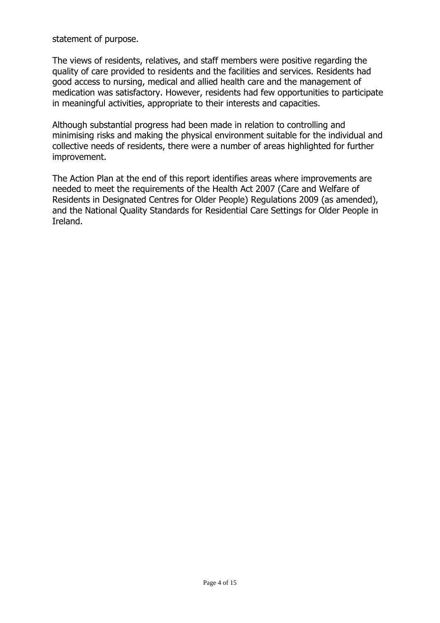statement of purpose.

The views of residents, relatives, and staff members were positive regarding the quality of care provided to residents and the facilities and services. Residents had good access to nursing, medical and allied health care and the management of medication was satisfactory. However, residents had few opportunities to participate in meaningful activities, appropriate to their interests and capacities.

Although substantial progress had been made in relation to controlling and minimising risks and making the physical environment suitable for the individual and collective needs of residents, there were a number of areas highlighted for further improvement.

The Action Plan at the end of this report identifies areas where improvements are needed to meet the requirements of the Health Act 2007 (Care and Welfare of Residents in Designated Centres for Older People) Regulations 2009 (as amended), and the National Quality Standards for Residential Care Settings for Older People in Ireland.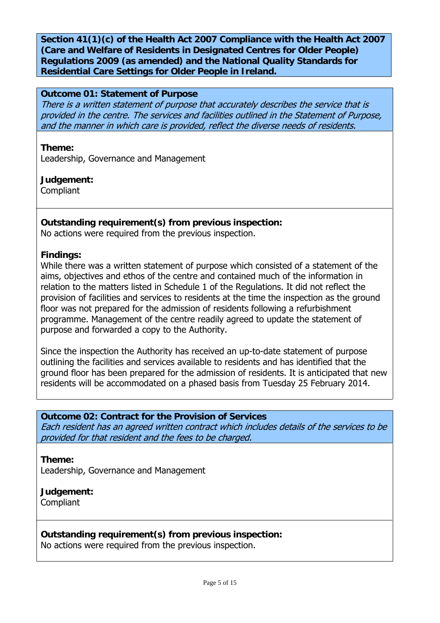**Section 41(1)(c) of the Health Act 2007 Compliance with the Health Act 2007 (Care and Welfare of Residents in Designated Centres for Older People) Regulations 2009 (as amended) and the National Quality Standards for Residential Care Settings for Older People in Ireland.** 

#### **Outcome 01: Statement of Purpose**

There is a written statement of purpose that accurately describes the service that is provided in the centre. The services and facilities outlined in the Statement of Purpose, and the manner in which care is provided, reflect the diverse needs of residents.

**Theme:** 

Leadership, Governance and Management

**Judgement: Compliant** 

#### **Outstanding requirement(s) from previous inspection:**

No actions were required from the previous inspection.

#### **Findings:**

While there was a written statement of purpose which consisted of a statement of the aims, objectives and ethos of the centre and contained much of the information in relation to the matters listed in Schedule 1 of the Regulations. It did not reflect the provision of facilities and services to residents at the time the inspection as the ground floor was not prepared for the admission of residents following a refurbishment programme. Management of the centre readily agreed to update the statement of purpose and forwarded a copy to the Authority.

Since the inspection the Authority has received an up-to-date statement of purpose outlining the facilities and services available to residents and has identified that the ground floor has been prepared for the admission of residents. It is anticipated that new residents will be accommodated on a phased basis from Tuesday 25 February 2014.

#### **Outcome 02: Contract for the Provision of Services**

Each resident has an agreed written contract which includes details of the services to be provided for that resident and the fees to be charged.

**Theme:**  Leadership, Governance and Management

#### **Judgement:** Compliant

#### **Outstanding requirement(s) from previous inspection:**

No actions were required from the previous inspection.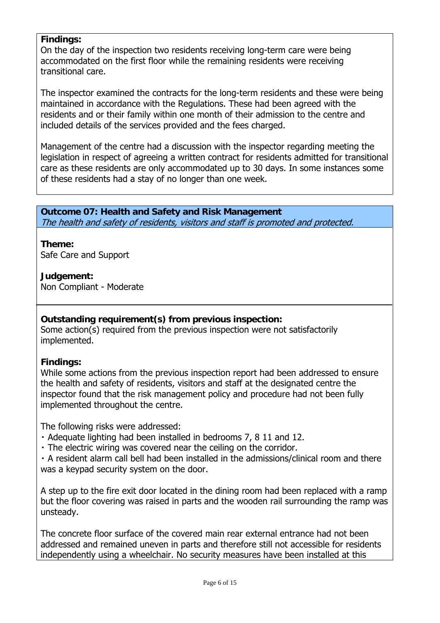#### **Findings:**

On the day of the inspection two residents receiving long-term care were being accommodated on the first floor while the remaining residents were receiving transitional care.

The inspector examined the contracts for the long-term residents and these were being maintained in accordance with the Regulations. These had been agreed with the residents and or their family within one month of their admission to the centre and included details of the services provided and the fees charged.

Management of the centre had a discussion with the inspector regarding meeting the legislation in respect of agreeing a written contract for residents admitted for transitional care as these residents are only accommodated up to 30 days. In some instances some of these residents had a stay of no longer than one week.

**Outcome 07: Health and Safety and Risk Management**  The health and safety of residents, visitors and staff is promoted and protected.

**Theme:**  Safe Care and Support

**Judgement:** Non Compliant - Moderate

#### **Outstanding requirement(s) from previous inspection:**

Some action(s) required from the previous inspection were not satisfactorily implemented.

#### **Findings:**

While some actions from the previous inspection report had been addressed to ensure the health and safety of residents, visitors and staff at the designated centre the inspector found that the risk management policy and procedure had not been fully implemented throughout the centre.

The following risks were addressed:

- ・ Adequate lighting had been installed in bedrooms 7, 8 11 and 12.
- ・ The electric wiring was covered near the ceiling on the corridor.

・ A resident alarm call bell had been installed in the admissions/clinical room and there was a keypad security system on the door.

A step up to the fire exit door located in the dining room had been replaced with a ramp but the floor covering was raised in parts and the wooden rail surrounding the ramp was unsteady.

The concrete floor surface of the covered main rear external entrance had not been addressed and remained uneven in parts and therefore still not accessible for residents independently using a wheelchair. No security measures have been installed at this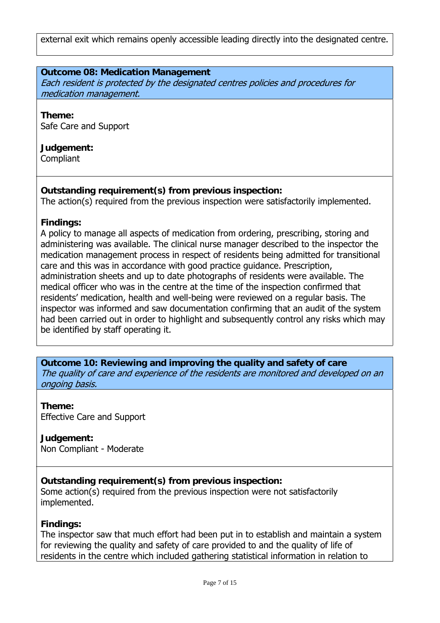external exit which remains openly accessible leading directly into the designated centre.

#### **Outcome 08: Medication Management**

Each resident is protected by the designated centres policies and procedures for medication management.

**Theme:**  Safe Care and Support

# **Judgement:**

Compliant

#### **Outstanding requirement(s) from previous inspection:**

The action(s) required from the previous inspection were satisfactorily implemented.

#### **Findings:**

A policy to manage all aspects of medication from ordering, prescribing, storing and administering was available. The clinical nurse manager described to the inspector the medication management process in respect of residents being admitted for transitional care and this was in accordance with good practice guidance. Prescription, administration sheets and up to date photographs of residents were available. The medical officer who was in the centre at the time of the inspection confirmed that residents' medication, health and well-being were reviewed on a regular basis. The inspector was informed and saw documentation confirming that an audit of the system had been carried out in order to highlight and subsequently control any risks which may be identified by staff operating it.

**Outcome 10: Reviewing and improving the quality and safety of care**  The quality of care and experience of the residents are monitored and developed on an ongoing basis.

**Theme:**  Effective Care and Support

**Judgement:** Non Compliant - Moderate

# **Outstanding requirement(s) from previous inspection:**

Some action(s) required from the previous inspection were not satisfactorily implemented.

#### **Findings:**

The inspector saw that much effort had been put in to establish and maintain a system for reviewing the quality and safety of care provided to and the quality of life of residents in the centre which included gathering statistical information in relation to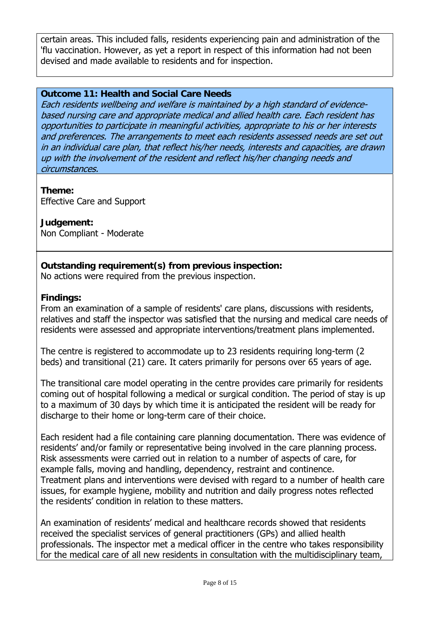certain areas. This included falls, residents experiencing pain and administration of the 'flu vaccination. However, as yet a report in respect of this information had not been devised and made available to residents and for inspection.

#### **Outcome 11: Health and Social Care Needs**

Each residents wellbeing and welfare is maintained by a high standard of evidencebased nursing care and appropriate medical and allied health care. Each resident has opportunities to participate in meaningful activities, appropriate to his or her interests and preferences. The arrangements to meet each residents assessed needs are set out in an individual care plan, that reflect his/her needs, interests and capacities, are drawn up with the involvement of the resident and reflect his/her changing needs and circumstances.

#### **Theme:**

Effective Care and Support

### **Judgement:**

Non Compliant - Moderate

### **Outstanding requirement(s) from previous inspection:**

No actions were required from the previous inspection.

### **Findings:**

From an examination of a sample of residents' care plans, discussions with residents, relatives and staff the inspector was satisfied that the nursing and medical care needs of residents were assessed and appropriate interventions/treatment plans implemented.

The centre is registered to accommodate up to 23 residents requiring long-term (2 beds) and transitional (21) care. It caters primarily for persons over 65 years of age.

The transitional care model operating in the centre provides care primarily for residents coming out of hospital following a medical or surgical condition. The period of stay is up to a maximum of 30 days by which time it is anticipated the resident will be ready for discharge to their home or long-term care of their choice.

Each resident had a file containing care planning documentation. There was evidence of residents' and/or family or representative being involved in the care planning process. Risk assessments were carried out in relation to a number of aspects of care, for example falls, moving and handling, dependency, restraint and continence. Treatment plans and interventions were devised with regard to a number of health care issues, for example hygiene, mobility and nutrition and daily progress notes reflected the residents' condition in relation to these matters.

An examination of residents' medical and healthcare records showed that residents received the specialist services of general practitioners (GPs) and allied health professionals. The inspector met a medical officer in the centre who takes responsibility for the medical care of all new residents in consultation with the multidisciplinary team,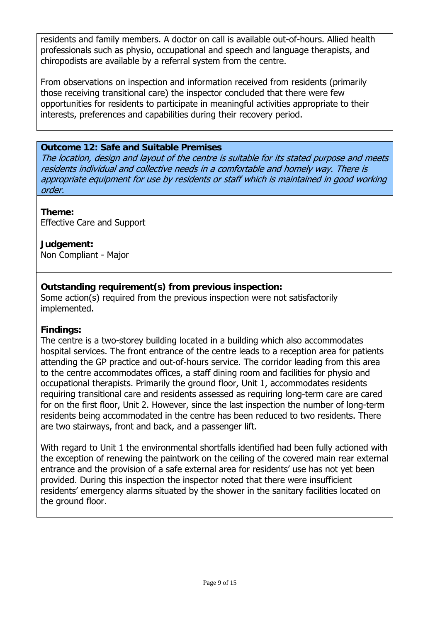residents and family members. A doctor on call is available out-of-hours. Allied health professionals such as physio, occupational and speech and language therapists, and chiropodists are available by a referral system from the centre.

From observations on inspection and information received from residents (primarily those receiving transitional care) the inspector concluded that there were few opportunities for residents to participate in meaningful activities appropriate to their interests, preferences and capabilities during their recovery period.

#### **Outcome 12: Safe and Suitable Premises**

The location, design and layout of the centre is suitable for its stated purpose and meets residents individual and collective needs in a comfortable and homely way. There is appropriate equipment for use by residents or staff which is maintained in good working order.

**Theme:**  Effective Care and Support

**Judgement:** Non Compliant - Major

### **Outstanding requirement(s) from previous inspection:**

Some action(s) required from the previous inspection were not satisfactorily implemented.

#### **Findings:**

The centre is a two-storey building located in a building which also accommodates hospital services. The front entrance of the centre leads to a reception area for patients attending the GP practice and out-of-hours service. The corridor leading from this area to the centre accommodates offices, a staff dining room and facilities for physio and occupational therapists. Primarily the ground floor, Unit 1, accommodates residents requiring transitional care and residents assessed as requiring long-term care are cared for on the first floor, Unit 2. However, since the last inspection the number of long-term residents being accommodated in the centre has been reduced to two residents. There are two stairways, front and back, and a passenger lift.

With regard to Unit 1 the environmental shortfalls identified had been fully actioned with the exception of renewing the paintwork on the ceiling of the covered main rear external entrance and the provision of a safe external area for residents' use has not yet been provided. During this inspection the inspector noted that there were insufficient residents' emergency alarms situated by the shower in the sanitary facilities located on the ground floor.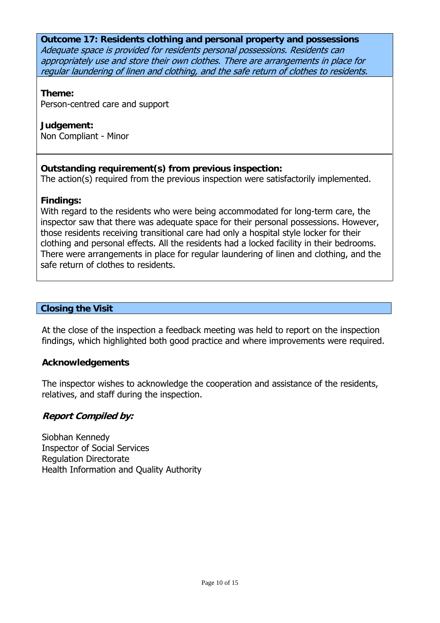**Outcome 17: Residents clothing and personal property and possessions**  Adequate space is provided for residents personal possessions. Residents can appropriately use and store their own clothes. There are arrangements in place for regular laundering of linen and clothing, and the safe return of clothes to residents.

#### **Theme:**

Person-centred care and support

# **Judgement:**

Non Compliant - Minor

# **Outstanding requirement(s) from previous inspection:**

The action(s) required from the previous inspection were satisfactorily implemented.

# **Findings:**

With regard to the residents who were being accommodated for long-term care, the inspector saw that there was adequate space for their personal possessions. However, those residents receiving transitional care had only a hospital style locker for their clothing and personal effects. All the residents had a locked facility in their bedrooms. There were arrangements in place for regular laundering of linen and clothing, and the safe return of clothes to residents.

# **Closing the Visit**

At the close of the inspection a feedback meeting was held to report on the inspection findings, which highlighted both good practice and where improvements were required.

# **Acknowledgements**

The inspector wishes to acknowledge the cooperation and assistance of the residents, relatives, and staff during the inspection.

#### **Report Compiled by:**

Siobhan Kennedy Inspector of Social Services Regulation Directorate Health Information and Quality Authority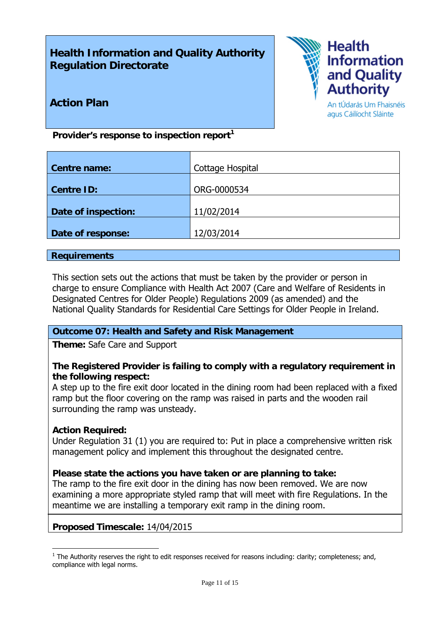# **Health Information and Quality Authority Regulation Directorate**



### **Action Plan**

An tÚdarás Um Fhaisnéis agus Cáilíocht Sláinte

Provider's response to inspection report<sup>1</sup>

| Cottage Hospital |
|------------------|
|                  |
| ORG-0000534      |
|                  |
| 11/02/2014       |
|                  |
| 12/03/2014       |
|                  |

#### **Requirements**

This section sets out the actions that must be taken by the provider or person in charge to ensure Compliance with Health Act 2007 (Care and Welfare of Residents in Designated Centres for Older People) Regulations 2009 (as amended) and the National Quality Standards for Residential Care Settings for Older People in Ireland.

#### **Outcome 07: Health and Safety and Risk Management**

**Theme:** Safe Care and Support

#### **The Registered Provider is failing to comply with a regulatory requirement in the following respect:**

A step up to the fire exit door located in the dining room had been replaced with a fixed ramp but the floor covering on the ramp was raised in parts and the wooden rail surrounding the ramp was unsteady.

#### **Action Required:**

Under Regulation 31 (1) you are required to: Put in place a comprehensive written risk management policy and implement this throughout the designated centre.

#### **Please state the actions you have taken or are planning to take:**

The ramp to the fire exit door in the dining has now been removed. We are now examining a more appropriate styled ramp that will meet with fire Regulations. In the meantime we are installing a temporary exit ramp in the dining room.

#### **Proposed Timescale:** 14/04/2015

<sup>1</sup>  $1$  The Authority reserves the right to edit responses received for reasons including: clarity; completeness; and, compliance with legal norms.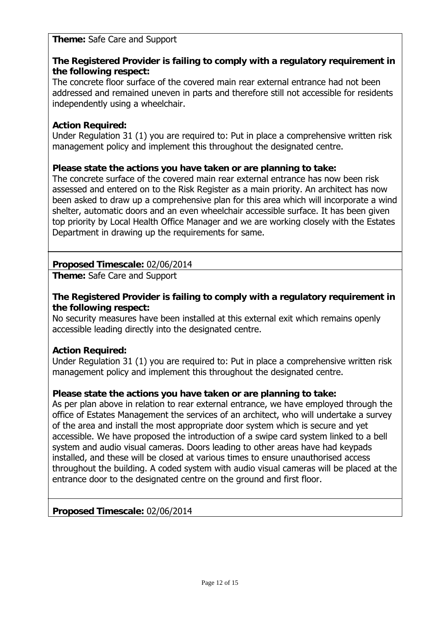#### **Theme:** Safe Care and Support

### **The Registered Provider is failing to comply with a regulatory requirement in the following respect:**

The concrete floor surface of the covered main rear external entrance had not been addressed and remained uneven in parts and therefore still not accessible for residents independently using a wheelchair.

#### **Action Required:**

Under Regulation 31 (1) you are required to: Put in place a comprehensive written risk management policy and implement this throughout the designated centre.

#### **Please state the actions you have taken or are planning to take:**

The concrete surface of the covered main rear external entrance has now been risk assessed and entered on to the Risk Register as a main priority. An architect has now been asked to draw up a comprehensive plan for this area which will incorporate a wind shelter, automatic doors and an even wheelchair accessible surface. It has been given top priority by Local Health Office Manager and we are working closely with the Estates Department in drawing up the requirements for same.

# **Proposed Timescale:** 02/06/2014

**Theme:** Safe Care and Support

#### **The Registered Provider is failing to comply with a regulatory requirement in the following respect:**

No security measures have been installed at this external exit which remains openly accessible leading directly into the designated centre.

#### **Action Required:**

Under Regulation 31 (1) you are required to: Put in place a comprehensive written risk management policy and implement this throughout the designated centre.

#### **Please state the actions you have taken or are planning to take:**

As per plan above in relation to rear external entrance, we have employed through the office of Estates Management the services of an architect, who will undertake a survey of the area and install the most appropriate door system which is secure and yet accessible. We have proposed the introduction of a swipe card system linked to a bell system and audio visual cameras. Doors leading to other areas have had keypads installed, and these will be closed at various times to ensure unauthorised access throughout the building. A coded system with audio visual cameras will be placed at the entrance door to the designated centre on the ground and first floor.

#### **Proposed Timescale:** 02/06/2014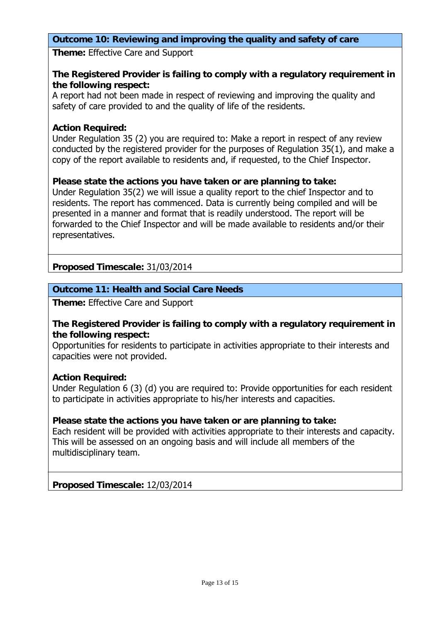#### **Outcome 10: Reviewing and improving the quality and safety of care**

**Theme:** Effective Care and Support

#### **The Registered Provider is failing to comply with a regulatory requirement in the following respect:**

A report had not been made in respect of reviewing and improving the quality and safety of care provided to and the quality of life of the residents.

#### **Action Required:**

Under Regulation 35 (2) you are required to: Make a report in respect of any review conducted by the registered provider for the purposes of Regulation 35(1), and make a copy of the report available to residents and, if requested, to the Chief Inspector.

#### **Please state the actions you have taken or are planning to take:**

Under Regulation 35(2) we will issue a quality report to the chief Inspector and to residents. The report has commenced. Data is currently being compiled and will be presented in a manner and format that is readily understood. The report will be forwarded to the Chief Inspector and will be made available to residents and/or their representatives.

#### **Proposed Timescale:** 31/03/2014

#### **Outcome 11: Health and Social Care Needs**

**Theme:** Effective Care and Support

#### **The Registered Provider is failing to comply with a regulatory requirement in the following respect:**

Opportunities for residents to participate in activities appropriate to their interests and capacities were not provided.

#### **Action Required:**

Under Regulation 6 (3) (d) you are required to: Provide opportunities for each resident to participate in activities appropriate to his/her interests and capacities.

#### **Please state the actions you have taken or are planning to take:**

Each resident will be provided with activities appropriate to their interests and capacity. This will be assessed on an ongoing basis and will include all members of the multidisciplinary team.

**Proposed Timescale:** 12/03/2014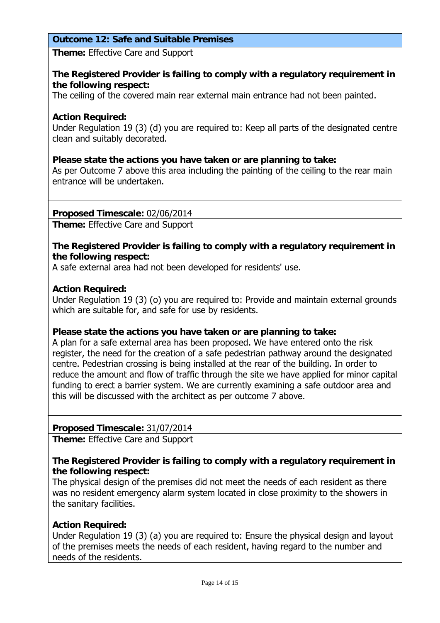#### **Outcome 12: Safe and Suitable Premises**

**Theme:** Effective Care and Support

#### **The Registered Provider is failing to comply with a regulatory requirement in the following respect:**

The ceiling of the covered main rear external main entrance had not been painted.

#### **Action Required:**

Under Regulation 19 (3) (d) you are required to: Keep all parts of the designated centre clean and suitably decorated.

#### **Please state the actions you have taken or are planning to take:**

As per Outcome 7 above this area including the painting of the ceiling to the rear main entrance will be undertaken.

**Proposed Timescale:** 02/06/2014

**Theme:** Effective Care and Support

#### **The Registered Provider is failing to comply with a regulatory requirement in the following respect:**

A safe external area had not been developed for residents' use.

#### **Action Required:**

Under Regulation 19 (3) (o) you are required to: Provide and maintain external grounds which are suitable for, and safe for use by residents.

#### **Please state the actions you have taken or are planning to take:**

A plan for a safe external area has been proposed. We have entered onto the risk register, the need for the creation of a safe pedestrian pathway around the designated centre. Pedestrian crossing is being installed at the rear of the building. In order to reduce the amount and flow of traffic through the site we have applied for minor capital funding to erect a barrier system. We are currently examining a safe outdoor area and this will be discussed with the architect as per outcome 7 above.

#### **Proposed Timescale:** 31/07/2014

**Theme:** Effective Care and Support

#### **The Registered Provider is failing to comply with a regulatory requirement in the following respect:**

The physical design of the premises did not meet the needs of each resident as there was no resident emergency alarm system located in close proximity to the showers in the sanitary facilities.

#### **Action Required:**

Under Regulation 19 (3) (a) you are required to: Ensure the physical design and layout of the premises meets the needs of each resident, having regard to the number and needs of the residents.